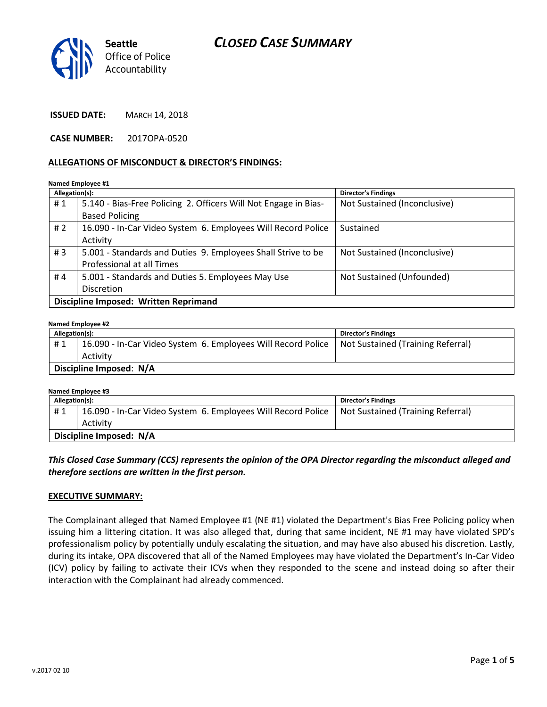



**ISSUED DATE:** MARCH 14, 2018

**CASE NUMBER:** 2017OPA-0520

#### **ALLEGATIONS OF MISCONDUCT & DIRECTOR'S FINDINGS:**

**Named Employee #1**

| Allegation(s):                        |                                                                 | <b>Director's Findings</b>   |  |
|---------------------------------------|-----------------------------------------------------------------|------------------------------|--|
| #1                                    | 5.140 - Bias-Free Policing 2. Officers Will Not Engage in Bias- | Not Sustained (Inconclusive) |  |
|                                       | <b>Based Policing</b>                                           |                              |  |
| # $2$                                 | 16.090 - In-Car Video System 6. Employees Will Record Police    | Sustained                    |  |
|                                       | Activity                                                        |                              |  |
| #3                                    | 5.001 - Standards and Duties 9. Employees Shall Strive to be    | Not Sustained (Inconclusive) |  |
|                                       | Professional at all Times                                       |                              |  |
| #4                                    | 5.001 - Standards and Duties 5. Employees May Use               | Not Sustained (Unfounded)    |  |
|                                       | <b>Discretion</b>                                               |                              |  |
| Discipline Imposed: Written Reprimand |                                                                 |                              |  |

#### **Named Employee #2 Allegation(s): Director's Findings** # 1 | 16.090 - In-Car Video System 6. Employees Will Record Police Activity Not Sustained (Training Referral) **Discipline Imposed**: **N/A**

| Named Employee #3       |                                                              |                                   |  |
|-------------------------|--------------------------------------------------------------|-----------------------------------|--|
| Allegation(s):          |                                                              | <b>Director's Findings</b>        |  |
| #1                      | 16.090 - In-Car Video System 6. Employees Will Record Police | Not Sustained (Training Referral) |  |
|                         | Activity                                                     |                                   |  |
| Discipline Imposed: N/A |                                                              |                                   |  |

## *This Closed Case Summary (CCS) represents the opinion of the OPA Director regarding the misconduct alleged and therefore sections are written in the first person.*

## **EXECUTIVE SUMMARY:**

The Complainant alleged that Named Employee #1 (NE #1) violated the Department's Bias Free Policing policy when issuing him a littering citation. It was also alleged that, during that same incident, NE #1 may have violated SPD's professionalism policy by potentially unduly escalating the situation, and may have also abused his discretion. Lastly, during its intake, OPA discovered that all of the Named Employees may have violated the Department's In-Car Video (ICV) policy by failing to activate their ICVs when they responded to the scene and instead doing so after their interaction with the Complainant had already commenced.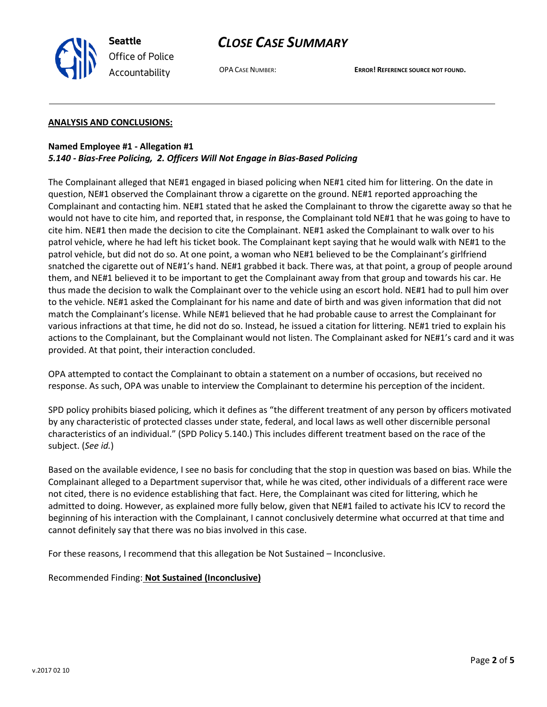



OPA CASE NUMBER: **ERROR! REFERENCE SOURCE NOT FOUND.**

### **ANALYSIS AND CONCLUSIONS:**

## **Named Employee #1 - Allegation #1** *5.140 - Bias-Free Policing, 2. Officers Will Not Engage in Bias-Based Policing*

The Complainant alleged that NE#1 engaged in biased policing when NE#1 cited him for littering. On the date in question, NE#1 observed the Complainant throw a cigarette on the ground. NE#1 reported approaching the Complainant and contacting him. NE#1 stated that he asked the Complainant to throw the cigarette away so that he would not have to cite him, and reported that, in response, the Complainant told NE#1 that he was going to have to cite him. NE#1 then made the decision to cite the Complainant. NE#1 asked the Complainant to walk over to his patrol vehicle, where he had left his ticket book. The Complainant kept saying that he would walk with NE#1 to the patrol vehicle, but did not do so. At one point, a woman who NE#1 believed to be the Complainant's girlfriend snatched the cigarette out of NE#1's hand. NE#1 grabbed it back. There was, at that point, a group of people around them, and NE#1 believed it to be important to get the Complainant away from that group and towards his car. He thus made the decision to walk the Complainant over to the vehicle using an escort hold. NE#1 had to pull him over to the vehicle. NE#1 asked the Complainant for his name and date of birth and was given information that did not match the Complainant's license. While NE#1 believed that he had probable cause to arrest the Complainant for various infractions at that time, he did not do so. Instead, he issued a citation for littering. NE#1 tried to explain his actions to the Complainant, but the Complainant would not listen. The Complainant asked for NE#1's card and it was provided. At that point, their interaction concluded.

OPA attempted to contact the Complainant to obtain a statement on a number of occasions, but received no response. As such, OPA was unable to interview the Complainant to determine his perception of the incident.

SPD policy prohibits biased policing, which it defines as "the different treatment of any person by officers motivated by any characteristic of protected classes under state, federal, and local laws as well other discernible personal characteristics of an individual." (SPD Policy 5.140.) This includes different treatment based on the race of the subject. (*See id.*)

Based on the available evidence, I see no basis for concluding that the stop in question was based on bias. While the Complainant alleged to a Department supervisor that, while he was cited, other individuals of a different race were not cited, there is no evidence establishing that fact. Here, the Complainant was cited for littering, which he admitted to doing. However, as explained more fully below, given that NE#1 failed to activate his ICV to record the beginning of his interaction with the Complainant, I cannot conclusively determine what occurred at that time and cannot definitely say that there was no bias involved in this case.

For these reasons, I recommend that this allegation be Not Sustained – Inconclusive.

Recommended Finding: **Not Sustained (Inconclusive)**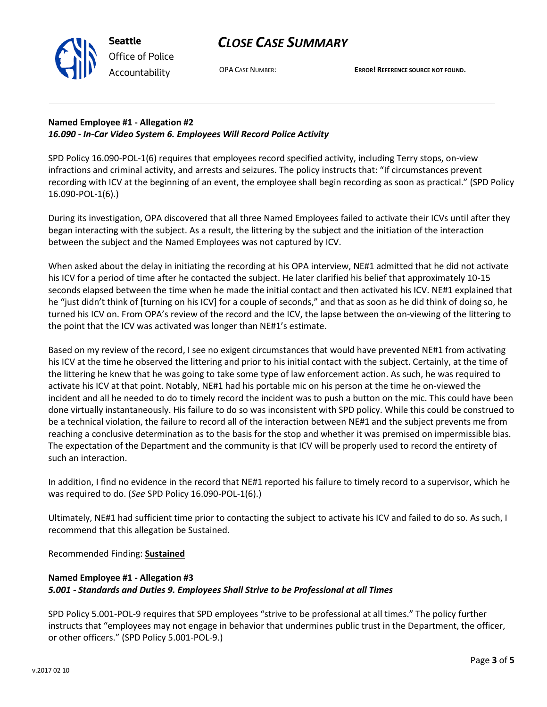



OPA CASE NUMBER: **ERROR! REFERENCE SOURCE NOT FOUND.**

# **Named Employee #1 - Allegation #2** *16.090 - In-Car Video System 6. Employees Will Record Police Activity*

SPD Policy 16.090-POL-1(6) requires that employees record specified activity, including Terry stops, on-view infractions and criminal activity, and arrests and seizures. The policy instructs that: "If circumstances prevent recording with ICV at the beginning of an event, the employee shall begin recording as soon as practical." (SPD Policy 16.090-POL-1(6).)

During its investigation, OPA discovered that all three Named Employees failed to activate their ICVs until after they began interacting with the subject. As a result, the littering by the subject and the initiation of the interaction between the subject and the Named Employees was not captured by ICV.

When asked about the delay in initiating the recording at his OPA interview, NE#1 admitted that he did not activate his ICV for a period of time after he contacted the subject. He later clarified his belief that approximately 10-15 seconds elapsed between the time when he made the initial contact and then activated his ICV. NE#1 explained that he "just didn't think of [turning on his ICV] for a couple of seconds," and that as soon as he did think of doing so, he turned his ICV on. From OPA's review of the record and the ICV, the lapse between the on-viewing of the littering to the point that the ICV was activated was longer than NE#1's estimate.

Based on my review of the record, I see no exigent circumstances that would have prevented NE#1 from activating his ICV at the time he observed the littering and prior to his initial contact with the subject. Certainly, at the time of the littering he knew that he was going to take some type of law enforcement action. As such, he was required to activate his ICV at that point. Notably, NE#1 had his portable mic on his person at the time he on-viewed the incident and all he needed to do to timely record the incident was to push a button on the mic. This could have been done virtually instantaneously. His failure to do so was inconsistent with SPD policy. While this could be construed to be a technical violation, the failure to record all of the interaction between NE#1 and the subject prevents me from reaching a conclusive determination as to the basis for the stop and whether it was premised on impermissible bias. The expectation of the Department and the community is that ICV will be properly used to record the entirety of such an interaction.

In addition, I find no evidence in the record that NE#1 reported his failure to timely record to a supervisor, which he was required to do. (*See* SPD Policy 16.090-POL-1(6).)

Ultimately, NE#1 had sufficient time prior to contacting the subject to activate his ICV and failed to do so. As such, I recommend that this allegation be Sustained.

Recommended Finding: **Sustained**

# **Named Employee #1 - Allegation #3** *5.001 - Standards and Duties 9. Employees Shall Strive to be Professional at all Times*

SPD Policy 5.001-POL-9 requires that SPD employees "strive to be professional at all times." The policy further instructs that "employees may not engage in behavior that undermines public trust in the Department, the officer, or other officers." (SPD Policy 5.001-POL-9.)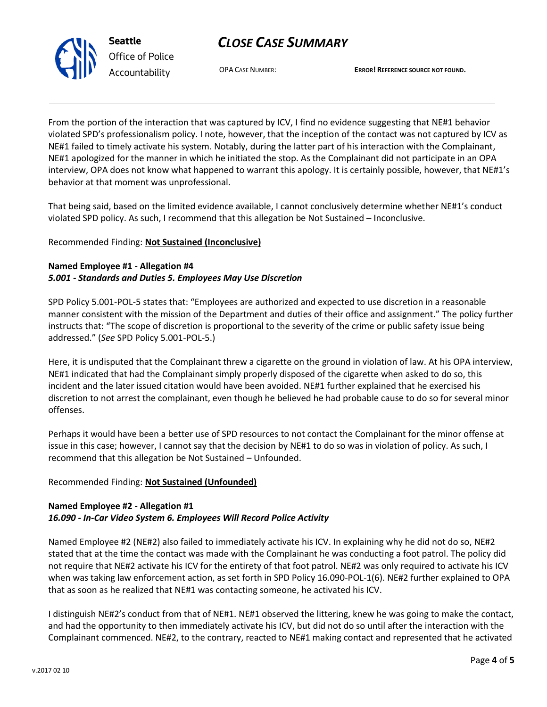# *CLOSE CASE SUMMARY*



*Office of Police Accountability*

OPA CASE NUMBER: **ERROR! REFERENCE SOURCE NOT FOUND.**

From the portion of the interaction that was captured by ICV, I find no evidence suggesting that NE#1 behavior violated SPD's professionalism policy. I note, however, that the inception of the contact was not captured by ICV as NE#1 failed to timely activate his system. Notably, during the latter part of his interaction with the Complainant, NE#1 apologized for the manner in which he initiated the stop. As the Complainant did not participate in an OPA interview, OPA does not know what happened to warrant this apology. It is certainly possible, however, that NE#1's behavior at that moment was unprofessional.

That being said, based on the limited evidence available, I cannot conclusively determine whether NE#1's conduct violated SPD policy. As such, I recommend that this allegation be Not Sustained – Inconclusive.

## Recommended Finding: **Not Sustained (Inconclusive)**

## **Named Employee #1 - Allegation #4** *5.001 - Standards and Duties 5. Employees May Use Discretion*

SPD Policy 5.001-POL-5 states that: "Employees are authorized and expected to use discretion in a reasonable manner consistent with the mission of the Department and duties of their office and assignment." The policy further instructs that: "The scope of discretion is proportional to the severity of the crime or public safety issue being addressed." (*See* SPD Policy 5.001-POL-5.)

Here, it is undisputed that the Complainant threw a cigarette on the ground in violation of law. At his OPA interview, NE#1 indicated that had the Complainant simply properly disposed of the cigarette when asked to do so, this incident and the later issued citation would have been avoided. NE#1 further explained that he exercised his discretion to not arrest the complainant, even though he believed he had probable cause to do so for several minor offenses.

Perhaps it would have been a better use of SPD resources to not contact the Complainant for the minor offense at issue in this case; however, I cannot say that the decision by NE#1 to do so was in violation of policy. As such, I recommend that this allegation be Not Sustained – Unfounded.

## Recommended Finding: **Not Sustained (Unfounded)**

### **Named Employee #2 - Allegation #1** *16.090 - In-Car Video System 6. Employees Will Record Police Activity*

Named Employee #2 (NE#2) also failed to immediately activate his ICV. In explaining why he did not do so, NE#2 stated that at the time the contact was made with the Complainant he was conducting a foot patrol. The policy did not require that NE#2 activate his ICV for the entirety of that foot patrol. NE#2 was only required to activate his ICV when was taking law enforcement action, as set forth in SPD Policy 16.090-POL-1(6). NE#2 further explained to OPA that as soon as he realized that NE#1 was contacting someone, he activated his ICV.

I distinguish NE#2's conduct from that of NE#1. NE#1 observed the littering, knew he was going to make the contact, and had the opportunity to then immediately activate his ICV, but did not do so until after the interaction with the Complainant commenced. NE#2, to the contrary, reacted to NE#1 making contact and represented that he activated